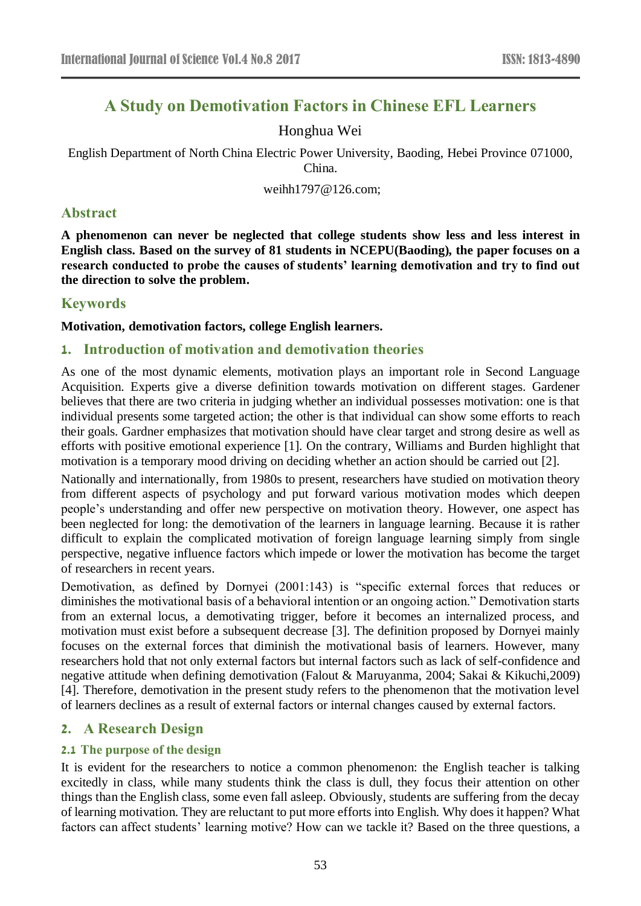# **A Study on Demotivation Factors in Chinese EFL Learners**

## Honghua Wei

English Department of North China Electric Power University, Baoding, Hebei Province 071000, China.

weihh1797@126.com;

## **Abstract**

**A phenomenon can never be neglected that college students show less and less interest in English class. Based on the survey of 81 students in NCEPU(Baoding), the paper focuses on a research conducted to probe the causes of students' learning demotivation and try to find out the direction to solve the problem.**

## **Keywords**

**Motivation, demotivation factors, college English learners.** 

## **1. Introduction of motivation and demotivation theories**

As one of the most dynamic elements, motivation plays an important role in Second Language Acquisition. Experts give a diverse definition towards motivation on different stages. Gardener believes that there are two criteria in judging whether an individual possesses motivation: one is that individual presents some targeted action; the other is that individual can show some efforts to reach their goals. Gardner emphasizes that motivation should have clear target and strong desire as well as efforts with positive emotional experience [1]. On the contrary, Williams and Burden highlight that motivation is a temporary mood driving on deciding whether an action should be carried out [2].

Nationally and internationally, from 1980s to present, researchers have studied on motivation theory from different aspects of psychology and put forward various motivation modes which deepen people's understanding and offer new perspective on motivation theory. However, one aspect has been neglected for long: the demotivation of the learners in language learning. Because it is rather difficult to explain the complicated motivation of foreign language learning simply from single perspective, negative influence factors which impede or lower the motivation has become the target of researchers in recent years.

Demotivation, as defined by Dornyei (2001:143) is "specific external forces that reduces or diminishes the motivational basis of a behavioral intention or an ongoing action." Demotivation starts from an external locus, a demotivating trigger, before it becomes an internalized process, and motivation must exist before a subsequent decrease [3]. The definition proposed by Dornyei mainly focuses on the external forces that diminish the motivational basis of learners. However, many researchers hold that not only external factors but internal factors such as lack of self-confidence and negative attitude when defining demotivation (Falout & Maruyanma, 2004; Sakai & Kikuchi,2009) [4]. Therefore, demotivation in the present study refers to the phenomenon that the motivation level of learners declines as a result of external factors or internal changes caused by external factors.

## **2. A Research Design**

## **2.1 The purpose of the design**

It is evident for the researchers to notice a common phenomenon: the English teacher is talking excitedly in class, while many students think the class is dull, they focus their attention on other things than the English class, some even fall asleep. Obviously, students are suffering from the decay of learning motivation. They are reluctant to put more efforts into English. Why does it happen? What factors can affect students' learning motive? How can we tackle it? Based on the three questions, a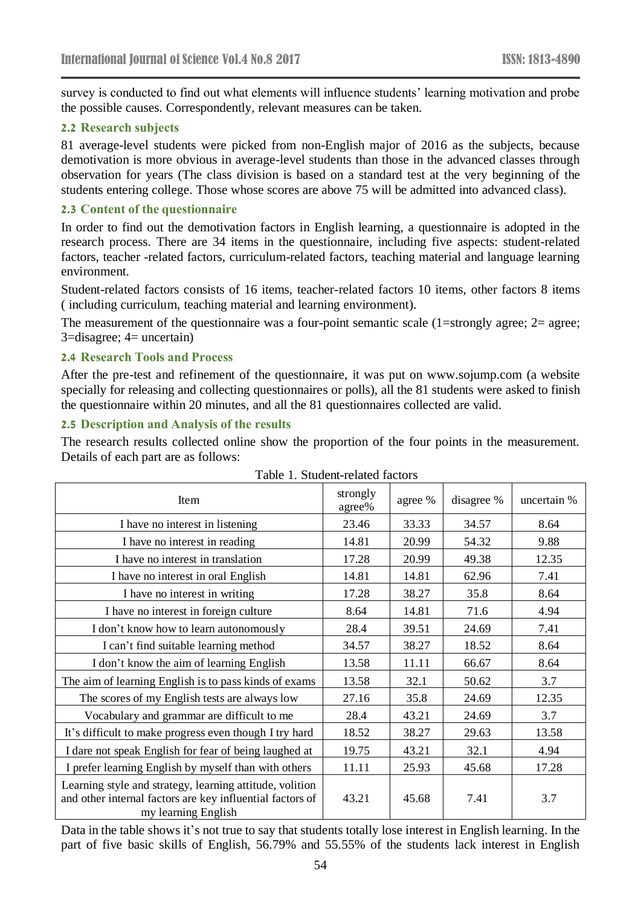survey is conducted to find out what elements will influence students' learning motivation and probe the possible causes. Correspondently, relevant measures can be taken.

#### **2.2 Research subjects**

81 average-level students were picked from non-English major of 2016 as the subjects, because demotivation is more obvious in average-level students than those in the advanced classes through observation for years (The class division is based on a standard test at the very beginning of the students entering college. Those whose scores are above 75 will be admitted into advanced class).

#### **2.3 Content of the questionnaire**

In order to find out the demotivation factors in English learning, a questionnaire is adopted in the research process. There are 34 items in the questionnaire, including five aspects: student-related factors, teacher -related factors, curriculum-related factors, teaching material and language learning environment.

Student-related factors consists of 16 items, teacher-related factors 10 items, other factors 8 items ( including curriculum, teaching material and learning environment).

The measurement of the questionnaire was a four-point semantic scale (1=strongly agree; 2= agree; 3=disagree; 4= uncertain)

#### **2.4 Research Tools and Process**

After the pre-test and refinement of the questionnaire, it was put on www.sojump.com (a website specially for releasing and collecting questionnaires or polls), all the 81 students were asked to finish the questionnaire within 20 minutes, and all the 81 questionnaires collected are valid.

#### **2.5 Description and Analysis of the results**

The research results collected online show the proportion of the four points in the measurement. Details of each part are as follows:

| Item                                                                                                                                         | strongly<br>agree% | agree % | disagree % | uncertain % |
|----------------------------------------------------------------------------------------------------------------------------------------------|--------------------|---------|------------|-------------|
| I have no interest in listening                                                                                                              | 23.46              | 33.33   | 34.57      | 8.64        |
| I have no interest in reading                                                                                                                | 14.81              | 20.99   | 54.32      | 9.88        |
| I have no interest in translation                                                                                                            | 17.28              | 20.99   | 49.38      | 12.35       |
| I have no interest in oral English                                                                                                           | 14.81              | 14.81   | 62.96      | 7.41        |
| I have no interest in writing                                                                                                                | 17.28              | 38.27   | 35.8       | 8.64        |
| I have no interest in foreign culture                                                                                                        | 8.64               | 14.81   | 71.6       | 4.94        |
| I don't know how to learn autonomously                                                                                                       | 28.4               | 39.51   | 24.69      | 7.41        |
| I can't find suitable learning method                                                                                                        | 34.57              | 38.27   | 18.52      | 8.64        |
| I don't know the aim of learning English                                                                                                     | 13.58              | 11.11   | 66.67      | 8.64        |
| The aim of learning English is to pass kinds of exams                                                                                        | 13.58              | 32.1    | 50.62      | 3.7         |
| The scores of my English tests are always low                                                                                                | 27.16              | 35.8    | 24.69      | 12.35       |
| Vocabulary and grammar are difficult to me                                                                                                   | 28.4               | 43.21   | 24.69      | 3.7         |
| It's difficult to make progress even though I try hard                                                                                       | 18.52              | 38.27   | 29.63      | 13.58       |
| I dare not speak English for fear of being laughed at                                                                                        | 19.75              | 43.21   | 32.1       | 4.94        |
| I prefer learning English by myself than with others                                                                                         | 11.11              | 25.93   | 45.68      | 17.28       |
| Learning style and strategy, learning attitude, volition<br>and other internal factors are key influential factors of<br>my learning English | 43.21              | 45.68   | 7.41       | 3.7         |

Table 1. Student-related factors

Data in the table shows it's not true to say that students totally lose interest in English learning. In the part of five basic skills of English, 56.79% and 55.55% of the students lack interest in English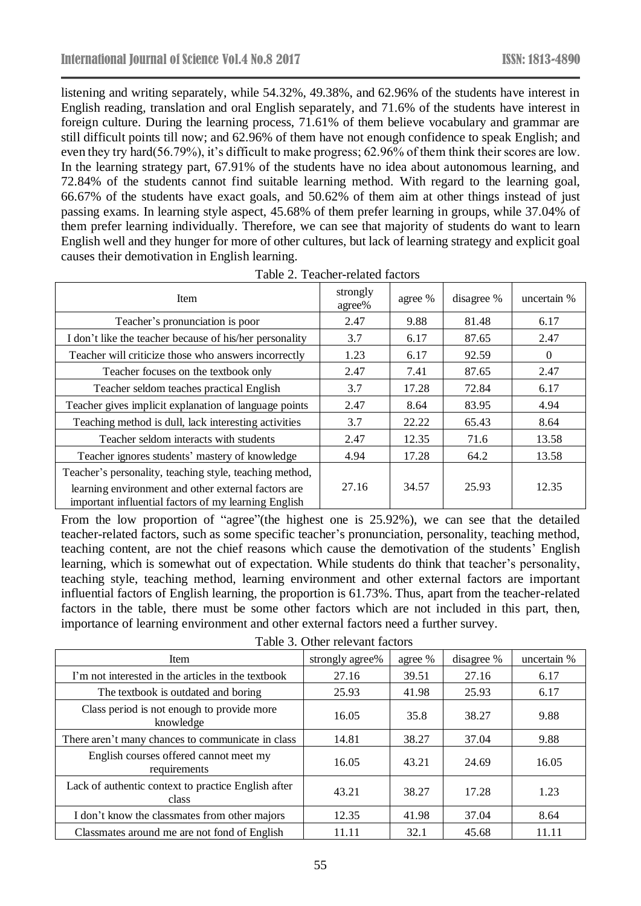listening and writing separately, while 54.32%, 49.38%, and 62.96% of the students have interest in English reading, translation and oral English separately, and 71.6% of the students have interest in foreign culture. During the learning process, 71.61% of them believe vocabulary and grammar are still difficult points till now; and 62.96% of them have not enough confidence to speak English; and even they try hard(56.79%), it's difficult to make progress; 62.96% of them think their scores are low. In the learning strategy part, 67.91% of the students have no idea about autonomous learning, and 72.84% of the students cannot find suitable learning method. With regard to the learning goal, 66.67% of the students have exact goals, and 50.62% of them aim at other things instead of just passing exams. In learning style aspect, 45.68% of them prefer learning in groups, while 37.04% of them prefer learning individually. Therefore, we can see that majority of students do want to learn English well and they hunger for more of other cultures, but lack of learning strategy and explicit goal causes their demotivation in English learning.

| Item                                                                                                        | strongly<br>agree% | agree % | disagree % | uncertain % |
|-------------------------------------------------------------------------------------------------------------|--------------------|---------|------------|-------------|
| Teacher's pronunciation is poor                                                                             | 2.47               | 9.88    | 81.48      | 6.17        |
| I don't like the teacher because of his/her personality                                                     | 3.7                | 6.17    | 87.65      | 2.47        |
| Teacher will criticize those who answers incorrectly                                                        | 1.23               | 6.17    | 92.59      | $\theta$    |
| Teacher focuses on the textbook only                                                                        | 2.47               | 7.41    | 87.65      | 2.47        |
| Teacher seldom teaches practical English                                                                    | 3.7                | 17.28   | 72.84      | 6.17        |
| Teacher gives implicit explanation of language points                                                       | 2.47               | 8.64    | 83.95      | 4.94        |
| Teaching method is dull, lack interesting activities                                                        | 3.7                | 22.22   | 65.43      | 8.64        |
| Teacher seldom interacts with students                                                                      | 2.47               | 12.35   | 71.6       | 13.58       |
| Teacher ignores students' mastery of knowledge                                                              | 4.94               | 17.28   | 64.2       | 13.58       |
| Teacher's personality, teaching style, teaching method,                                                     |                    |         |            |             |
| learning environment and other external factors are<br>important influential factors of my learning English | 27.16              | 34.57   | 25.93      | 12.35       |

Table 2. Teacher-related factors

From the low proportion of "agree"(the highest one is 25.92%), we can see that the detailed teacher-related factors, such as some specific teacher's pronunciation, personality, teaching method, teaching content, are not the chief reasons which cause the demotivation of the students' English learning, which is somewhat out of expectation. While students do think that teacher's personality, teaching style, teaching method, learning environment and other external factors are important influential factors of English learning, the proportion is 61.73%. Thus, apart from the teacher-related factors in the table, there must be some other factors which are not included in this part, then, importance of learning environment and other external factors need a further survey.

|  | Table 3. Other relevant factors |  |
|--|---------------------------------|--|
|--|---------------------------------|--|

| <b>Item</b>                                                  | strongly agree% | agree % | disagree % | uncertain % |
|--------------------------------------------------------------|-----------------|---------|------------|-------------|
| I'm not interested in the articles in the textbook           | 27.16           | 39.51   | 27.16      | 6.17        |
| The textbook is outdated and boring                          | 25.93           | 41.98   | 25.93      | 6.17        |
| Class period is not enough to provide more<br>knowledge      | 16.05           | 35.8    | 38.27      | 9.88        |
| There aren't many chances to communicate in class            | 14.81           | 38.27   | 37.04      | 9.88        |
| English courses offered cannot meet my<br>requirements       | 16.05           | 43.21   | 24.69      | 16.05       |
| Lack of authentic context to practice English after<br>class | 43.21           | 38.27   | 17.28      | 1.23        |
| I don't know the classmates from other majors                | 12.35           | 41.98   | 37.04      | 8.64        |
| Classmates around me are not fond of English                 | 11.11           | 32.1    | 45.68      | 11.11       |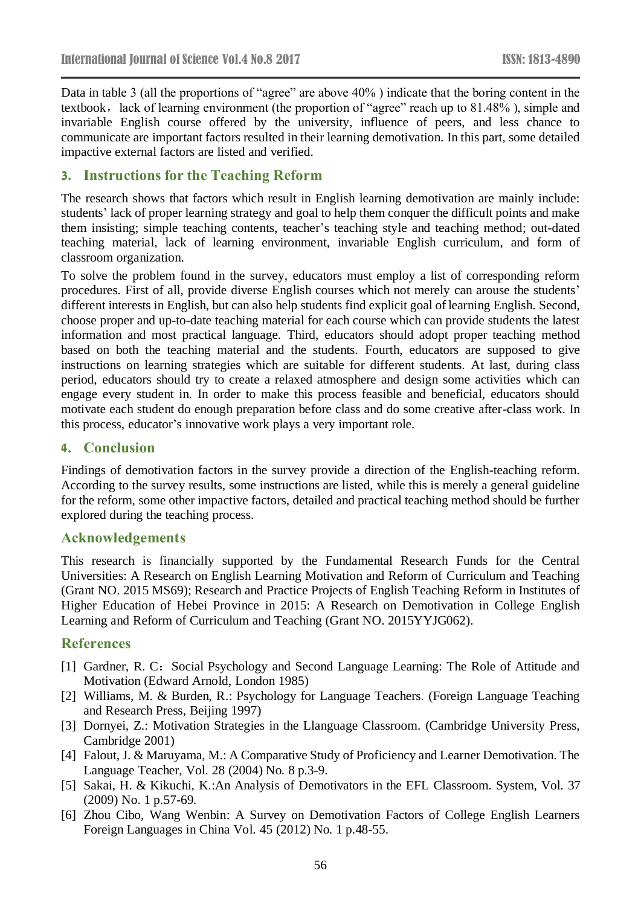Data in table 3 (all the proportions of "agree" are above 40% ) indicate that the boring content in the textbook, lack of learning environment (the proportion of "agree" reach up to 81.48%), simple and invariable English course offered by the university, influence of peers, and less chance to communicate are important factors resulted in their learning demotivation. In this part, some detailed impactive external factors are listed and verified.

## **3. Instructions for the Teaching Reform**

The research shows that factors which result in English learning demotivation are mainly include: students' lack of proper learning strategy and goal to help them conquer the difficult points and make them insisting; simple teaching contents, teacher's teaching style and teaching method; out-dated teaching material, lack of learning environment, invariable English curriculum, and form of classroom organization.

To solve the problem found in the survey, educators must employ a list of corresponding reform procedures. First of all, provide diverse English courses which not merely can arouse the students' different interests in English, but can also help students find explicit goal of learning English. Second, choose proper and up-to-date teaching material for each course which can provide students the latest information and most practical language. Third, educators should adopt proper teaching method based on both the teaching material and the students. Fourth, educators are supposed to give instructions on learning strategies which are suitable for different students. At last, during class period, educators should try to create a relaxed atmosphere and design some activities which can engage every student in. In order to make this process feasible and beneficial, educators should motivate each student do enough preparation before class and do some creative after-class work. In this process, educator's innovative work plays a very important role.

### **4. Conclusion**

Findings of demotivation factors in the survey provide a direction of the English-teaching reform. According to the survey results, some instructions are listed, while this is merely a general guideline for the reform, some other impactive factors, detailed and practical teaching method should be further explored during the teaching process.

#### **Acknowledgements**

This research is financially supported by the Fundamental Research Funds for the Central Universities: A Research on English Learning Motivation and Reform of Curriculum and Teaching (Grant NO. 2015 MS69); Research and Practice Projects of English Teaching Reform in Institutes of Higher Education of Hebei Province in 2015: A Research on Demotivation in College English Learning and Reform of Curriculum and Teaching (Grant NO. 2015YYJG062).

### **References**

- [1] Gardner, R. C: Social Psychology and Second Language Learning: The Role of Attitude and Motivation (Edward Arnold, London 1985)
- [2] Williams, M. & Burden, R.: Psychology for Language Teachers. (Foreign Language Teaching and Research Press, Beijing 1997)
- [3] Dornyei, Z.: Motivation Strategies in the Llanguage Classroom. (Cambridge University Press, Cambridge 2001)
- [4] Falout, J. & Maruyama, M.: A Comparative Study of Proficiency and Learner Demotivation. The Language Teacher, Vol. 28 (2004) No. 8 p.3-9.
- [5] Sakai, H. & Kikuchi, K.:An Analysis of Demotivators in the EFL Classroom. System, Vol. 37 (2009) No. 1 p.57-69.
- [6] Zhou Cibo, Wang Wenbin: A Survey on Demotivation Factors of College English Learners Foreign Languages in China Vol. 45 (2012) No. 1 p.48-55.